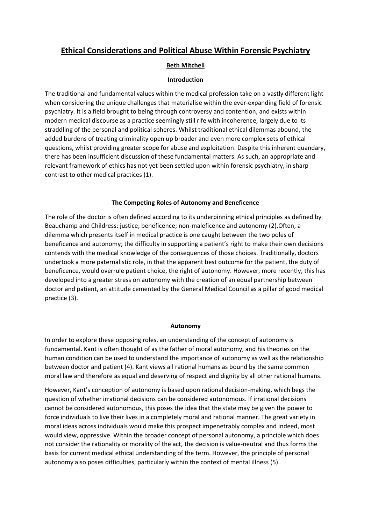# **Ethical Considerations and Political Abuse Within Forensic Psychiatry**

# **Beth Mitchell**

## **Introduction**

The traditional and fundamental values within the medical profession take on a vastly different light when considering the unique challenges that materialise within the ever-expanding field of forensic psychiatry. It is a field brought to being through controversy and contention, and exists within modern medical discourse as a practice seemingly still rife with incoherence, largely due to its straddling of the personal and political spheres. Whilst traditional ethical dilemmas abound, the added burdens of treating criminality open up broader and even more complex sets of ethical questions, whilst providing greater scope for abuse and exploitation. Despite this inherent quandary, there has been insufficient discussion of these fundamental matters. As such, an appropriate and relevant framework of ethics has not yet been settled upon within forensic psychiatry, in sharp contrast to other medical practices (1).

## **The Competing Roles of Autonomy and Beneficence**

The role of the doctor is often defined according to its underpinning ethical principles as defined by Beauchamp and Childress: justice; beneficence; non-maleficence and autonomy (2).Often, a dilemma which presents itself in medical practice is one caught between the two poles of beneficence and autonomy; the difficulty in supporting a patient's right to make their own decisions contends with the medical knowledge of the consequences of those choices. Traditionally, doctors undertook a more paternalistic role, in that the apparent best outcome for the patient, the duty of beneficence, would overrule patient choice, the right of autonomy. However, more recently, this has developed into a greater stress on autonomy with the creation of an equal partnership between doctor and patient, an attitude cemented by the General Medical Council as a pillar of good medical practice (3).

## **Autonomy**

In order to explore these opposing roles, an understanding of the concept of autonomy is fundamental. Kant is often thought of as the father of moral autonomy, and his theories on the human condition can be used to understand the importance of autonomy as well as the relationship between doctor and patient (4). Kant views all rational humans as bound by the same common moral law and therefore as equal and deserving of respect and dignity by all other rational humans.

However, Kant's conception of autonomy is based upon rational decision-making, which begs the question of whether irrational decisions can be considered autonomous. If irrational decisions cannot be considered autonomous, this poses the idea that the state may be given the power to force individuals to live their lives in a completely moral and rational manner. The great variety in moral ideas across individuals would make this prospect impenetrably complex and indeed, most would view, oppressive. Within the broader concept of personal autonomy, a principle which does not consider the rationality or morality of the act, the decision is value-neutral and thus forms the basis for current medical ethical understanding of the term. However, the principle of personal autonomy also poses difficulties, particularly within the context of mental illness (5).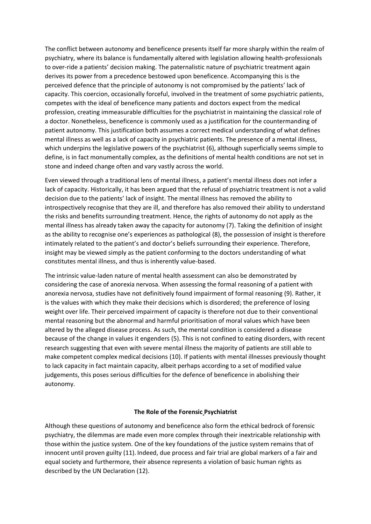The conflict between autonomy and beneficence presents itself far more sharply within the realm of psychiatry, where its balance is fundamentally altered with legislation allowing health-professionals to over-ride a patients' decision making. The paternalistic nature of psychiatric treatment again derives its power from a precedence bestowed upon beneficence. Accompanying this is the perceived defence that the principle of autonomy is not compromised by the patients' lack of capacity. This coercion, occasionally forceful, involved in the treatment of some psychiatric patients, competes with the ideal of beneficence many patients and doctors expect from the medical profession, creating immeasurable difficulties for the psychiatrist in maintaining the classical role of a doctor. Nonetheless, beneficence is commonly used as a justification for the countermanding of patient autonomy. This justification both assumes a correct medical understanding of what defines mental illness as well as a lack of capacity in psychiatric patients. The presence of a mental illness, which underpins the legislative powers of the psychiatrist (6), although superficially seems simple to define, is in fact monumentally complex, as the definitions of mental health conditions are not set in stone and indeed change often and vary vastly across the world.

Even viewed through a traditional lens of mental illness, a patient's mental illness does not infer a lack of capacity. Historically, it has been argued that the refusal of psychiatric treatment is not a valid decision due to the patients' lack of insight. The mental illness has removed the ability to introspectively recognise that they are ill, and therefore has also removed their ability to understand the risks and benefits surrounding treatment. Hence, the rights of autonomy do not apply as the mental illness has already taken away the capacity for autonomy (7). Taking the definition of insight as the ability to recognise one's experiences as pathological (8), the possession of insight is therefore intimately related to the patient's and doctor's beliefs surrounding their experience. Therefore, insight may be viewed simply as the patient conforming to the doctors understanding of what constitutes mental illness, and thus is inherently value-based.

The intrinsic value-laden nature of mental health assessment can also be demonstrated by considering the case of anorexia nervosa. When assessing the formal reasoning of a patient with anorexia nervosa, studies have not definitively found impairment of formal reasoning (9). Rather, it is the values with which they make their decisions which is disordered; the preference of losing weight over life. Their perceived impairment of capacity is therefore not due to their conventional mental reasoning but the abnormal and harmful prioritisation of moral values which have been altered by the alleged disease process. As such, the mental condition is considered a disease because of the change in values it engenders (5). This is not confined to eating disorders, with recent research suggesting that even with severe mental illness the majority of patients are still able to make competent complex medical decisions (10). If patients with mental illnesses previously thought to lack capacity in fact maintain capacity, albeit perhaps according to a set of modified value judgements, this poses serious difficulties for the defence of beneficence in abolishing their autonomy.

## **The Role of the Forensic Psychiatrist**

Although these questions of autonomy and beneficence also form the ethical bedrock of forensic psychiatry, the dilemmas are made even more complex through their inextricable relationship with those within the justice system. One of the key foundations of the justice system remains that of innocent until proven guilty (11). Indeed, due process and fair trial are global markers of a fair and equal society and furthermore, their absence represents a violation of basic human rights as described by the UN Declaration (12).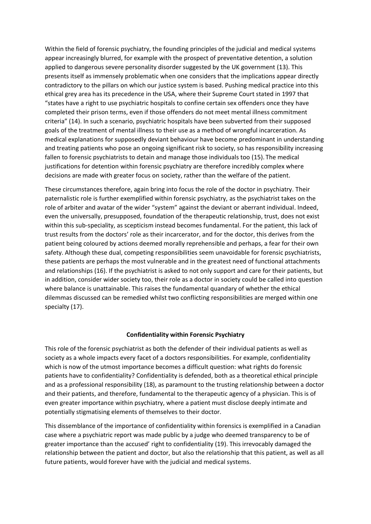Within the field of forensic psychiatry, the founding principles of the judicial and medical systems appear increasingly blurred, for example with the prospect of preventative detention, a solution applied to dangerous severe personality disorder suggested by the UK government (13). This presents itself as immensely problematic when one considers that the implications appear directly contradictory to the pillars on which our justice system is based. Pushing medical practice into this ethical grey area has its precedence in the USA, where their Supreme Court stated in 1997 that "states have a right to use psychiatric hospitals to confine certain sex offenders once they have completed their prison terms, even if those offenders do not meet mental illness commitment criteria" (14). In such a scenario, psychiatric hospitals have been subverted from their supposed goals of the treatment of mental illness to their use as a method of wrongful incarceration. As medical explanations for supposedly deviant behaviour have become predominant in understanding and treating patients who pose an ongoing significant risk to society, so has responsibility increasing fallen to forensic psychiatrists to detain and manage those individuals too (15). The medical justifications for detention within forensic psychiatry are therefore incredibly complex where decisions are made with greater focus on society, rather than the welfare of the patient.

These circumstances therefore, again bring into focus the role of the doctor in psychiatry. Their paternalistic role is further exemplified within forensic psychiatry, as the psychiatrist takes on the role of arbiter and avatar of the wider "system" against the deviant or aberrant individual. Indeed, even the universally, presupposed, foundation of the therapeutic relationship, trust, does not exist within this sub-speciality, as scepticism instead becomes fundamental. For the patient, this lack of trust results from the doctors' role as their incarcerator, and for the doctor, this derives from the patient being coloured by actions deemed morally reprehensible and perhaps, a fear for their own safety. Although these dual, competing responsibilities seem unavoidable for forensic psychiatrists, these patients are perhaps the most vulnerable and in the greatest need of functional attachments and relationships (16). If the psychiatrist is asked to not only support and care for their patients, but in addition, consider wider society too, their role as a doctor in society could be called into question where balance is unattainable. This raises the fundamental quandary of whether the ethical dilemmas discussed can be remedied whilst two conflicting responsibilities are merged within one specialty (17).

## **Confidentiality within Forensic Psychiatry**

This role of the forensic psychiatrist as both the defender of their individual patients as well as society as a whole impacts every facet of a doctors responsibilities. For example, confidentiality which is now of the utmost importance becomes a difficult question: what rights do forensic patients have to confidentiality? Confidentiality is defended, both as a theoretical ethical principle and as a professional responsibility (18), as paramount to the trusting relationship between a doctor and their patients, and therefore, fundamental to the therapeutic agency of a physician. This is of even greater importance within psychiatry, where a patient must disclose deeply intimate and potentially stigmatising elements of themselves to their doctor.

This dissemblance of the importance of confidentiality within forensics is exemplified in a Canadian case where a psychiatric report was made public by a judge who deemed transparency to be of greater importance than the accused' right to confidentiality (19). This irrevocably damaged the relationship between the patient and doctor, but also the relationship that this patient, as well as all future patients, would forever have with the judicial and medical systems.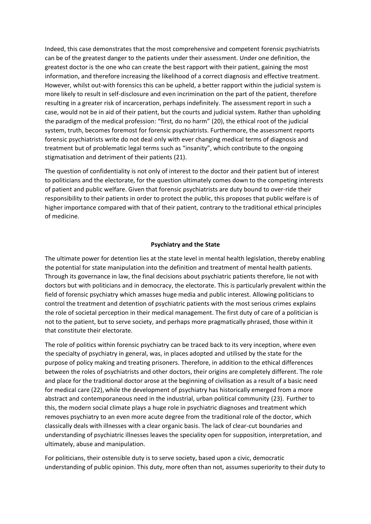Indeed, this case demonstrates that the most comprehensive and competent forensic psychiatrists can be of the greatest danger to the patients under their assessment. Under one definition, the greatest doctor is the one who can create the best rapport with their patient, gaining the most information, and therefore increasing the likelihood of a correct diagnosis and effective treatment. However, whilst out-with forensics this can be upheld, a better rapport within the judicial system is more likely to result in self-disclosure and even incrimination on the part of the patient, therefore resulting in a greater risk of incarceration, perhaps indefinitely. The assessment report in such a case, would not be in aid of their patient, but the courts and judicial system. Rather than upholding the paradigm of the medical profession: "first, do no harm" (20), the ethical root of the judicial system, truth, becomes foremost for forensic psychiatrists. Furthermore, the assessment reports forensic psychiatrists write do not deal only with ever changing medical terms of diagnosis and treatment but of problematic legal terms such as "insanity", which contribute to the ongoing stigmatisation and detriment of their patients (21).

The question of confidentiality is not only of interest to the doctor and their patient but of interest to politicians and the electorate, for the question ultimately comes down to the competing interests of patient and public welfare. Given that forensic psychiatrists are duty bound to over-ride their responsibility to their patients in order to protect the public, this proposes that public welfare is of higher importance compared with that of their patient, contrary to the traditional ethical principles of medicine.

#### **Psychiatry and the State**

The ultimate power for detention lies at the state level in mental health legislation, thereby enabling the potential for state manipulation into the definition and treatment of mental health patients. Through its governance in law, the final decisions about psychiatric patients therefore, lie not with doctors but with politicians and in democracy, the electorate. This is particularly prevalent within the field of forensic psychiatry which amasses huge media and public interest. Allowing politicians to control the treatment and detention of psychiatric patients with the most serious crimes explains the role of societal perception in their medical management. The first duty of care of a politician is not to the patient, but to serve society, and perhaps more pragmatically phrased, those within it that constitute their electorate.

The role of politics within forensic psychiatry can be traced back to its very inception, where even the specialty of psychiatry in general, was, in places adopted and utilised by the state for the purpose of policy making and treating prisoners. Therefore, in addition to the ethical differences between the roles of psychiatrists and other doctors, their origins are completely different. The role and place for the traditional doctor arose at the beginning of civilisation as a result of a basic need for medical care (22), while the development of psychiatry has historically emerged from a more abstract and contemporaneous need in the industrial, urban political community (23). Further to this, the modern social climate plays a huge role in psychiatric diagnoses and treatment which removes psychiatry to an even more acute degree from the traditional role of the doctor, which classically deals with illnesses with a clear organic basis. The lack of clear-cut boundaries and understanding of psychiatric illnesses leaves the speciality open for supposition, interpretation, and ultimately, abuse and manipulation.

For politicians, their ostensible duty is to serve society, based upon a civic, democratic understanding of public opinion. This duty, more often than not, assumes superiority to their duty to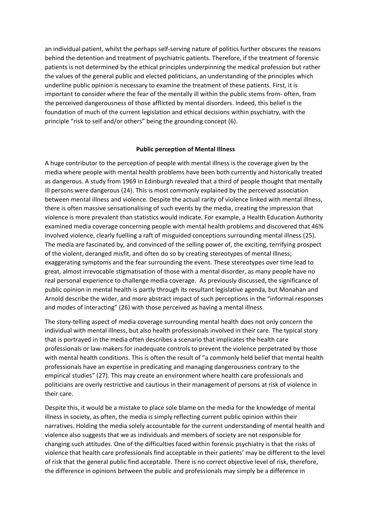an individual patient, whilst the perhaps self-serving nature of politics further obscures the reasons behind the detention and treatment of psychiatric patients. Therefore, if the treatment of forensic patients is not determined by the ethical principles underpinning the medical profession but rather the values of the general public and elected politicians, an understanding of the principles which underline public opinion is necessary to examine the treatment of these patients. First, it is important to consider where the fear of the mentally ill within the public stems from- often, from the perceived dangerousness of those afflicted by mental disorders. Indeed, this belief is the foundation of much of the current legislation and ethical decisions within psychiatry, with the principle "risk to self and/or others" being the grounding concept (6).

## **Public perception of Mental Illness**

A huge contributor to the perception of people with mental illness is the coverage given by the media where people with mental health problems have been both currently and historically treated as dangerous. A study from 1969 in Edinburgh revealed that a third of people thought that mentally ill persons were dangerous (24). This is most commonly explained by the perceived association between mental illness and violence. Despite the actual rarity of violence linked with mental illness, there is often massive sensationalising of such events by the media, creating the impression that violence is more prevalent than statistics would indicate. For example, a Health Education Authority examined media coverage concerning people with mental health problems and discovered that 46% involved violence, clearly fuelling a raft of misguided conceptions surrounding mental illness (25). The media are fascinated by, and convinced of the selling power of, the exciting, terrifying prospect of the violent, deranged misfit, and often do so by creating stereotypes of mental illness; exaggerating symptoms and the fear surrounding the event. These stereotypes over time lead to great, almost irrevocable stigmatisation of those with a mental disorder, as many people have no real personal experience to challenge media coverage. As previously discussed, the significance of public opinion in mental health is partly through its resultant legislative agenda, but Monahan and Arnold describe the wider, and more abstract impact of such perceptions in the "informal responses and modes of interacting" (26) with those perceived as having a mental illness.

The story-telling aspect of media coverage surrounding mental health does not only concern the individual with mental illness, but also health professionals involved in their care. The typical story that is portrayed in the media often describes a scenario that implicates the health care professionals or law-makers for inadequate controls to prevent the violence perpetrated by those with mental health conditions. This is often the result of "a commonly held belief that mental health professionals have an expertise in predicating and managing dangerousness contrary to the empirical studies" (27). This may create an environment where health care professionals and politicians are overly restrictive and cautious in their management of persons at risk of violence in their care.

Despite this, it would be a mistake to place sole blame on the media for the knowledge of mental illness in society, as often, the media is simply reflecting current public opinion within their narratives. Holding the media solely accountable for the current understanding of mental health and violence also suggests that we as individuals and members of society are not responsible for changing such attitudes. One of the difficulties faced within forensic psychiatry is that the risks of violence that health care professionals find acceptable in their patients' may be different to the level of risk that the general public find acceptable. There is no correct objective level of risk, therefore, the difference in opinions between the public and professionals may simply be a difference in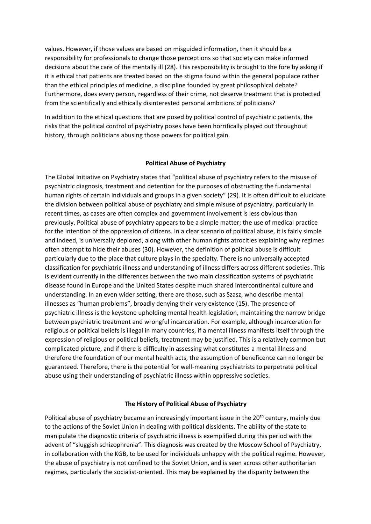values. However, if those values are based on misguided information, then it should be a responsibility for professionals to change those perceptions so that society can make informed decisions about the care of the mentally ill (28). This responsibility is brought to the fore by asking if it is ethical that patients are treated based on the stigma found within the general populace rather than the ethical principles of medicine, a discipline founded by great philosophical debate? Furthermore, does every person, regardless of their crime, not deserve treatment that is protected from the scientifically and ethically disinterested personal ambitions of politicians?

In addition to the ethical questions that are posed by political control of psychiatric patients, the risks that the political control of psychiatry poses have been horrifically played out throughout history, through politicians abusing those powers for political gain.

#### **Political Abuse of Psychiatry**

The Global Initiative on Psychiatry states that "political abuse of psychiatry refers to the misuse of psychiatric diagnosis, treatment and detention for the purposes of obstructing the fundamental human rights of certain individuals and groups in a given society" (29). It is often difficult to elucidate the division between political abuse of psychiatry and simple misuse of psychiatry, particularly in recent times, as cases are often complex and government involvement is less obvious than previously. Political abuse of psychiatry appears to be a simple matter; the use of medical practice for the intention of the oppression of citizens. In a clear scenario of political abuse, it is fairly simple and indeed, is universally deplored, along with other human rights atrocities explaining why regimes often attempt to hide their abuses (30). However, the definition of political abuse is difficult particularly due to the place that culture plays in the specialty. There is no universally accepted classification for psychiatric illness and understanding of illness differs across different societies. This is evident currently in the differences between the two main classification systems of psychiatric disease found in Europe and the United States despite much shared intercontinental culture and understanding. In an even wider setting, there are those, such as Szasz, who describe mental illnesses as "human problems", broadly denying their very existence (15). The presence of psychiatric illness is the keystone upholding mental health legislation, maintaining the narrow bridge between psychiatric treatment and wrongful incarceration. For example, although incarceration for religious or political beliefs is illegal in many countries, if a mental illness manifests itself through the expression of religious or political beliefs, treatment may be justified. This is a relatively common but complicated picture, and if there is difficulty in assessing what constitutes a mental illness and therefore the foundation of our mental health acts, the assumption of beneficence can no longer be guaranteed. Therefore, there is the potential for well-meaning psychiatrists to perpetrate political abuse using their understanding of psychiatric illness within oppressive societies.

#### **The History of Political Abuse of Psychiatry**

Political abuse of psychiatry became an increasingly important issue in the 20<sup>th</sup> century, mainly due to the actions of the Soviet Union in dealing with political dissidents. The ability of the state to manipulate the diagnostic criteria of psychiatric illness is exemplified during this period with the advent of "sluggish schizophrenia". This diagnosis was created by the Moscow School of Psychiatry, in collaboration with the KGB, to be used for individuals unhappy with the political regime. However, the abuse of psychiatry is not confined to the Soviet Union, and is seen across other authoritarian regimes, particularly the socialist-oriented. This may be explained by the disparity between the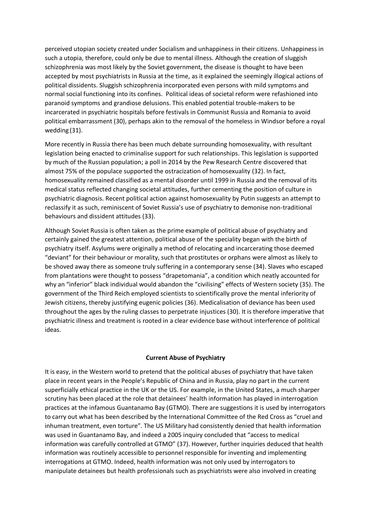perceived utopian society created under Socialism and unhappiness in their citizens. Unhappiness in such a utopia, therefore, could only be due to mental illness. Although the creation of sluggish schizophrenia was most likely by the Soviet government, the disease is thought to have been accepted by most psychiatrists in Russia at the time, as it explained the seemingly illogical actions of political dissidents. Sluggish schizophrenia incorporated even persons with mild symptoms and normal social functioning into its confines. Political ideas of societal reform were refashioned into paranoid symptoms and grandiose delusions. This enabled potential trouble-makers to be incarcerated in psychiatric hospitals before festivals in Communist Russia and Romania to avoid political embarrassment (30), perhaps akin to the removal of the homeless in Windsor before a royal wedding (31).

More recently in Russia there has been much debate surrounding homosexuality, with resultant legislation being enacted to criminalise support for such relationships. This legislation is supported by much of the Russian population; a poll in 2014 by the Pew Research Centre discovered that almost 75% of the populace supported the ostracization of homosexuality (32). In fact, homosexuality remained classified as a mental disorder until 1999 in Russia and the removal of its medical status reflected changing societal attitudes, further cementing the position of culture in psychiatric diagnosis. Recent political action against homosexuality by Putin suggests an attempt to reclassify it as such, reminiscent of Soviet Russia's use of psychiatry to demonise non-traditional behaviours and dissident attitudes (33).

Although Soviet Russia is often taken as the prime example of political abuse of psychiatry and certainly gained the greatest attention, political abuse of the speciality began with the birth of psychiatry itself. Asylums were originally a method of relocating and incarcerating those deemed "deviant" for their behaviour or morality, such that prostitutes or orphans were almost as likely to be shoved away there as someone truly suffering in a contemporary sense (34). Slaves who escaped from plantations were thought to possess "drapetomania", a condition which neatly accounted for why an "inferior" black individual would abandon the "civilising" effects of Western society (35). The government of the Third Reich employed scientists to scientifically prove the mental inferiority of Jewish citizens, thereby justifying eugenic policies (36). Medicalisation of deviance has been used throughout the ages by the ruling classes to perpetrate injustices (30). It is therefore imperative that psychiatric illness and treatment is rooted in a clear evidence base without interference of political ideas.

## **Current Abuse of Psychiatry**

It is easy, in the Western world to pretend that the political abuses of psychiatry that have taken place in recent years in the People's Republic of China and in Russia, play no part in the current superficially ethical practice in the UK or the US. For example, in the United States, a much sharper scrutiny has been placed at the role that detainees' health information has played in interrogation practices at the infamous Guantanamo Bay (GTMO). There are suggestions it is used by interrogators to carry out what has been described by the International Committee of the Red Cross as "cruel and inhuman treatment, even torture". The US Military had consistently denied that health information was used in Guantanamo Bay, and indeed a 2005 inquiry concluded that "access to medical information was carefully controlled at GTMO" (37). However, further inquiries deduced that health information was routinely accessible to personnel responsible for inventing and implementing interrogations at GTMO. Indeed, health information was not only used by interrogators to manipulate detainees but health professionals such as psychiatrists were also involved in creating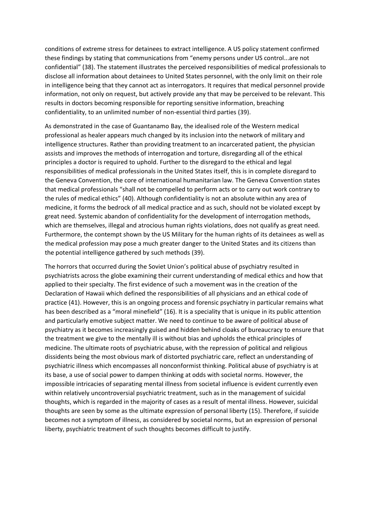conditions of extreme stress for detainees to extract intelligence. A US policy statement confirmed these findings by stating that communications from "enemy persons under US control...are not confidential" (38). The statement illustrates the perceived responsibilities of medical professionals to disclose all information about detainees to United States personnel, with the only limit on their role in intelligence being that they cannot act as interrogators. It requires that medical personnel provide information, not only on request, but actively provide any that may be perceived to be relevant. This results in doctors becoming responsible for reporting sensitive information, breaching confidentiality, to an unlimited number of non-essential third parties (39).

As demonstrated in the case of Guantanamo Bay, the idealised role of the Western medical professional as healer appears much changed by its inclusion into the network of military and intelligence structures. Rather than providing treatment to an incarcerated patient, the physician assists and improves the methods of interrogation and torture, disregarding all of the ethical principles a doctor is required to uphold. Further to the disregard to the ethical and legal responsibilities of medical professionals in the United States itself, this is in complete disregard to the Geneva Convention, the core of international humanitarian law. The Geneva Convention states that medical professionals "shall not be compelled to perform acts or to carry out work contrary to the rules of medical ethics" (40). Although confidentiality is not an absolute within any area of medicine, it forms the bedrock of all medical practice and as such, should not be violated except by great need. Systemic abandon of confidentiality for the development of interrogation methods, which are themselves, illegal and atrocious human rights violations, does not qualify as great need. Furthermore, the contempt shown by the US Military for the human rights of its detainees as well as the medical profession may pose a much greater danger to the United States and its citizens than the potential intelligence gathered by such methods (39).

The horrors that occurred during the Soviet Union's political abuse of psychiatry resulted in psychiatrists across the globe examining their current understanding of medical ethics and how that applied to their specialty. The first evidence of such a movement was in the creation of the Declaration of Hawaii which defined the responsibilities of all physicians and an ethical code of practice (41). However, this is an ongoing process and forensic psychiatry in particular remains what has been described as a "moral minefield" (16). It is a speciality that is unique in its public attention and particularly emotive subject matter. We need to continue to be aware of political abuse of psychiatry as it becomes increasingly guised and hidden behind cloaks of bureaucracy to ensure that the treatment we give to the mentally ill is without bias and upholds the ethical principles of medicine. The ultimate roots of psychiatric abuse, with the repression of political and religious dissidents being the most obvious mark of distorted psychiatric care, reflect an understanding of psychiatric illness which encompasses all nonconformist thinking. Political abuse of psychiatry is at its base, a use of social power to dampen thinking at odds with societal norms. However, the impossible intricacies of separating mental illness from societal influence is evident currently even within relatively uncontroversial psychiatric treatment, such as in the management of suicidal thoughts, which is regarded in the majority of cases as a result of mental illness. However, suicidal thoughts are seen by some as the ultimate expression of personal liberty (15). Therefore, if suicide becomes not a symptom of illness, as considered by societal norms, but an expression of personal liberty, psychiatric treatment of such thoughts becomes difficult to justify.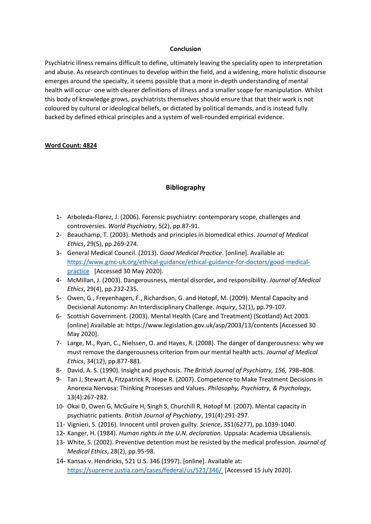## **Conclusion**

Psychiatric illness remains difficult to define, ultimately leaving the speciality open to interpretation and abuse. As research continues to develop within the field, and a widening, more holistic discourse emerges around the specialty, it seems possible that a more in-depth understanding of mental health will occur- one with clearer definitions of illness and a smaller scope for manipulation. Whilst this body of knowledge grows, psychiatrists themselves should ensure that that their work is not coloured by cultural or ideological beliefs, or dictated by political demands, and is instead fully backed by defined ethical principles and a system of well-rounded empirical evidence.

## **Word Count: 4824**

# **Bibliography**

- 1- Arboleda-Florez, J. (2006). Forensic psychiatry: contemporary scope, challenges and controversies. *World Psychiatry*, 5(2), pp.87-91.
- 2- Beauchamp, T. (2003). Methods and principles in biomedical ethics. *Journal of Medical Ethics*, 29(5), pp.269-274.
- 3- General Medical Council. (2013). *Good Medical Practice*. [online]. Available at: [https://www.gmc-uk.org/ethical-guidance/ethical-guidance-for-doctors/good-medical](https://www.gmc-uk.org/ethical-guidance/ethical-guidance-for-doctors/good-medical-practice)[practice](https://www.gmc-uk.org/ethical-guidance/ethical-guidance-for-doctors/good-medical-practice) [Accessed 30 May 2020].
- 4- McMillan, J. (2003). Dangerousness, mental disorder, and responsibility. *Journal of Medical Ethics*, 29(4), pp.232-235.
- 5- Owen, G., Freyenhagen, F., Richardson, G. and Hotopf, M. (2009). Mental Capacity and Decisional Autonomy: An Interdisciplinary Challenge. *Inquiry*, 52(1), pp.79-107.
- 6- Scottish Government. (2003). Mental Health (Care and Treatment) (Scotland) Act 2003. [online] Available at: https://www.legislation.gov.uk/asp/2003/13/contents [Accessed 30 May 2020].
- 7- Large, M., Ryan, C., Nielssen, O. and Hayes, R. (2008). The danger of dangerousness: why we must remove the dangerousness criterion from our mental health acts. *Journal of Medical Ethics*, 34(12), pp.877-881.
- 8- David, A. S. (1990). Insight and psychosis. *The British Journal of Psychiatry, 156,* 798–808.
- 9- Tan J, Stewart A, Fitzpatrick R, Hope R. (2007). Competence to Make Treatment Decisions in Anorexia Nervosa: Thinking Processes and Values. *Philosophy, Psychiatry, & Psychology,*  13(4):267-282.
- 10- Okai D, Owen G, McGuire H, Singh S, Churchill R, Hotopf M. (2007). Mental capacity in psychiatric patients. *British Journal of Psychiatry*, 191(4):291-297.
- 11- Vignieri, S. (2016). Innocent until proven guilty. *Science*, 351(6277), pp.1039-1040.
- 12- Kanger, H. (1984). *Human rights in the U.N. declaration*. Uppsala: Academia Ubsaliensis.
- 13- White, S. (2002). Preventive detention must be resisted by the medical profession. *Journal of Medical Ethics*, 28(2), pp.95-98.
- 14- Kansas v. Hendricks, 521 U.S. 346 (1997). [online]. Available at: <https://supreme.justia.com/cases/federal/us/521/346/> [Accessed 15 July 2020].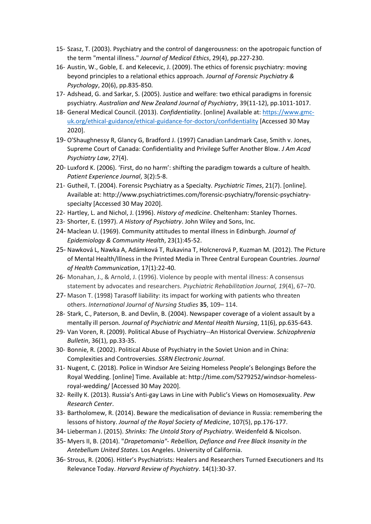- 15- Szasz, T. (2003). Psychiatry and the control of dangerousness: on the apotropaic function of the term "mental illness." *Journal of Medical Ethics*, 29(4), pp.227-230.
- 16- Austin, W., Goble, E. and Kelecevic, J. (2009). The ethics of forensic psychiatry: moving beyond principles to a relational ethics approach. *Journal of Forensic Psychiatry & Psychology*, 20(6), pp.835-850.
- 17- Adshead, G. and Sarkar, S. (2005). Justice and welfare: two ethical paradigms in forensic psychiatry. *Australian and New Zealand Journal of Psychiatry*, 39(11-12), pp.1011-1017.
- 18- General Medical Council. (2013). *Confidentiality*. [online] Available at: [https://www.gmc](https://www.gmc-uk.org/ethical-guidance/ethical-guidance-for-doctors/confidentiality)[uk.org/ethical-guidance/ethical-guidance-for-doctors/confidentiality](https://www.gmc-uk.org/ethical-guidance/ethical-guidance-for-doctors/confidentiality) [Accessed 30 May 2020].
- 19- O'Shaughnessy R, Glancy G, Bradford J. (1997) Canadian Landmark Case, Smith v. Jones, Supreme Court of Canada: Confidentiality and Privilege Suffer Another Blow. *J Am Acad Psychiatry Law*, 27(4).
- 20- Luxford K. (2006). 'First, do no harm': shifting the paradigm towards a culture of health. *Patient Experience Journal*, 3(2):5-8.
- 21- Gutheil, T. (2004). Forensic Psychiatry as a Specialty. *Psychiatric Times*, 21(7). [online]. Available at: http://www.psychiatrictimes.com/forensic-psychiatry/forensic-psychiatryspecialty [Accessed 30 May 2020].
- 22- Hartley, L. and Nichol, J. (1996). *History of medicine*. Cheltenham: Stanley Thornes.
- 23- Shorter, E. (1997). *A History of Psychiatry*. John Wiley and Sons, Inc.
- 24- Maclean U. (1969). Community attitudes to mental illness in Edinburgh. *Journal of Epidemiology & Community Health*, 23(1):45-52.
- 25- Nawková L, Nawka A, Adámková T, Rukavina T, Holcnerová P, Kuzman M. (2012). The Picture of Mental Health/Illness in the Printed Media in Three Central European Countries. *Journal of Health Communication*, 17(1):22-40.
- 26- Monahan, J., & Arnold, J. (1996). Violence by people with mental illness: A consensus statement by advocates and researchers. *Psychiatric Rehabilitation Journal, 19*(4), 67–70.
- 27- Mason T. (1998) Tarasoff liability: its impact for working with patients who threaten others. *International Journal of Nursing Studies* **35**, 109– 114.
- 28- Stark, C., Paterson, B. and Devlin, B. (2004). Newspaper coverage of a violent assault by a mentally ill person*. Journal of Psychiatric and Mental Health Nursing*, 11(6), pp.635-643.
- 29- Van Voren, R. (2009). Political Abuse of Psychiatry--An Historical Overview. *Schizophrenia Bulletin*, 36(1), pp.33-35.
- 30- Bonnie, R. (2002). Political Abuse of Psychiatry in the Soviet Union and in China: Complexities and Controversies. *SSRN Electronic Journal*.
- 31- Nugent, C. (2018). Police in Windsor Are Seizing Homeless People's Belongings Before the Royal Wedding. [online] Time. Available at: http://time.com/5279252/windsor-homelessroyal-wedding/ [Accessed 30 May 2020].
- 32- Reilly K. (2013). Russia's Anti-gay Laws in Line with Public's Views on Homosexuality. *Pew Research Center*.
- 33- Bartholomew, R. (2014). Beware the medicalisation of deviance in Russia: remembering the lessons of history. *Journal of the Royal Society of Medicine*, 107(5), pp.176-177.
- 34- Lieberman J. (2015). *Shrinks: The Untold Story of Psychiatry*. Weidenfeld & Nicolson.
- 35- Myers II, B. (2014). "*Drapetomania"- Rebellion, Defiance and Free Black Insanity in the Antebellum United States*. Los Angeles. University of California.
- 36- Strous, R. (2006). Hitler's Psychiatrists: Healers and Researchers Turned Executioners and Its Relevance Today. *Harvard Review of Psychiatry*. 14(1):30-37.